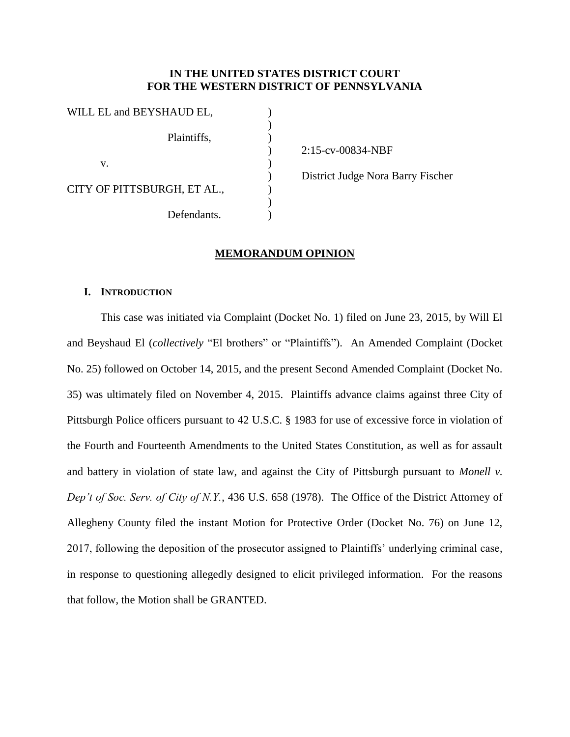# **IN THE UNITED STATES DISTRICT COURT FOR THE WESTERN DISTRICT OF PENNSYLVANIA**

)

| WILL EL and BEYSHAUD EL,    |  |
|-----------------------------|--|
| Plaintiffs,                 |  |
| V.                          |  |
| CITY OF PITTSBURGH, ET AL., |  |
| Defendants.                 |  |

 $($ 2:15-cv-00834-NBF

) District Judge Nora Barry Fischer

# **MEMORANDUM OPINION**

## **I. INTRODUCTION**

This case was initiated via Complaint (Docket No. 1) filed on June 23, 2015, by Will El and Beyshaud El (*collectively* "El brothers" or "Plaintiffs"). An Amended Complaint (Docket No. 25) followed on October 14, 2015, and the present Second Amended Complaint (Docket No. 35) was ultimately filed on November 4, 2015. Plaintiffs advance claims against three City of Pittsburgh Police officers pursuant to 42 U.S.C. § 1983 for use of excessive force in violation of the Fourth and Fourteenth Amendments to the United States Constitution, as well as for assault and battery in violation of state law, and against the City of Pittsburgh pursuant to *Monell v. Dep't of Soc. Serv. of City of N.Y.*, 436 U.S. 658 (1978). The Office of the District Attorney of Allegheny County filed the instant Motion for Protective Order (Docket No. 76) on June 12, 2017, following the deposition of the prosecutor assigned to Plaintiffs' underlying criminal case, in response to questioning allegedly designed to elicit privileged information. For the reasons that follow, the Motion shall be GRANTED.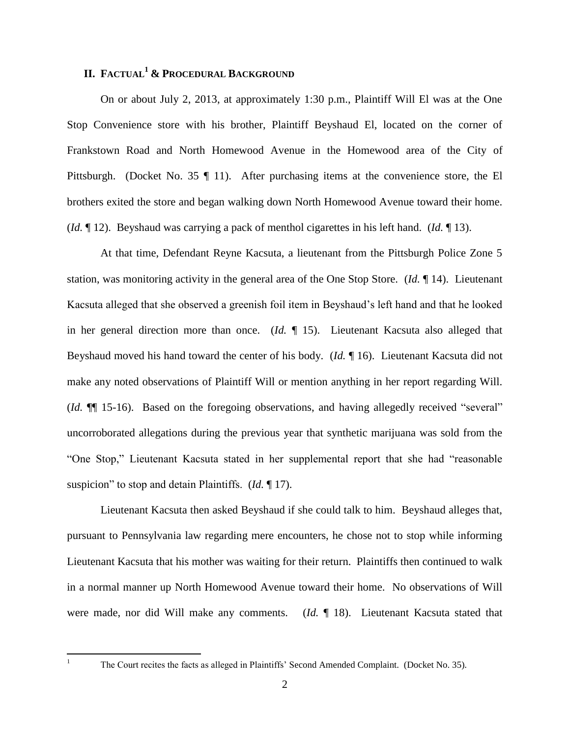# **II. FACTUAL<sup>1</sup> & PROCEDURAL BACKGROUND**

On or about July 2, 2013, at approximately 1:30 p.m., Plaintiff Will El was at the One Stop Convenience store with his brother, Plaintiff Beyshaud El, located on the corner of Frankstown Road and North Homewood Avenue in the Homewood area of the City of Pittsburgh. (Docket No. 35 ¶ 11). After purchasing items at the convenience store, the El brothers exited the store and began walking down North Homewood Avenue toward their home. (*Id.* ¶ 12). Beyshaud was carrying a pack of menthol cigarettes in his left hand. (*Id.* ¶ 13).

At that time, Defendant Reyne Kacsuta, a lieutenant from the Pittsburgh Police Zone 5 station, was monitoring activity in the general area of the One Stop Store. (*Id.* ¶ 14). Lieutenant Kacsuta alleged that she observed a greenish foil item in Beyshaud's left hand and that he looked in her general direction more than once. (*Id.* ¶ 15). Lieutenant Kacsuta also alleged that Beyshaud moved his hand toward the center of his body. (*Id.* ¶ 16). Lieutenant Kacsuta did not make any noted observations of Plaintiff Will or mention anything in her report regarding Will. (*Id.* ¶¶ 15-16). Based on the foregoing observations, and having allegedly received "several" uncorroborated allegations during the previous year that synthetic marijuana was sold from the "One Stop," Lieutenant Kacsuta stated in her supplemental report that she had "reasonable suspicion" to stop and detain Plaintiffs. (*Id.* ¶ 17).

Lieutenant Kacsuta then asked Beyshaud if she could talk to him. Beyshaud alleges that, pursuant to Pennsylvania law regarding mere encounters, he chose not to stop while informing Lieutenant Kacsuta that his mother was waiting for their return. Plaintiffs then continued to walk in a normal manner up North Homewood Avenue toward their home. No observations of Will were made, nor did Will make any comments. (*Id.* ¶ 18). Lieutenant Kacsuta stated that

 $\,1$ 

The Court recites the facts as alleged in Plaintiffs' Second Amended Complaint. (Docket No. 35).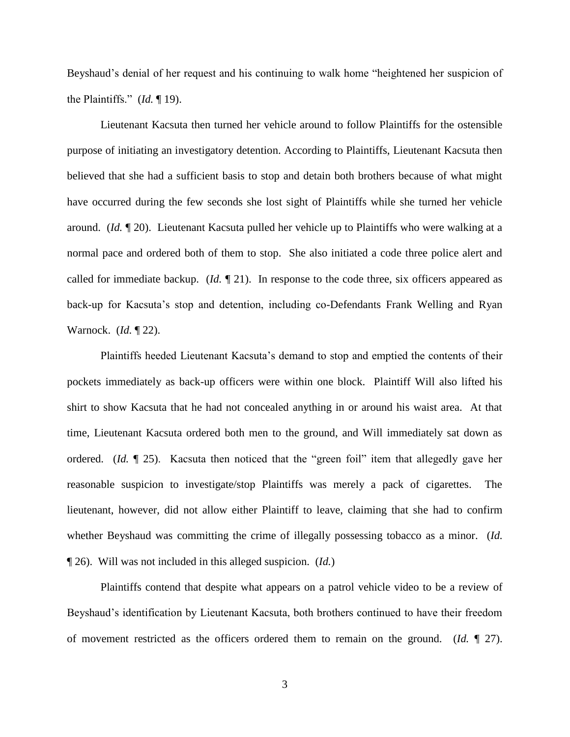Beyshaud's denial of her request and his continuing to walk home "heightened her suspicion of the Plaintiffs." (*Id.* ¶ 19).

Lieutenant Kacsuta then turned her vehicle around to follow Plaintiffs for the ostensible purpose of initiating an investigatory detention. According to Plaintiffs, Lieutenant Kacsuta then believed that she had a sufficient basis to stop and detain both brothers because of what might have occurred during the few seconds she lost sight of Plaintiffs while she turned her vehicle around. (*Id.* ¶ 20). Lieutenant Kacsuta pulled her vehicle up to Plaintiffs who were walking at a normal pace and ordered both of them to stop. She also initiated a code three police alert and called for immediate backup. (*Id.* ¶ 21). In response to the code three, six officers appeared as back-up for Kacsuta's stop and detention, including co-Defendants Frank Welling and Ryan Warnock. (*Id.* ¶ 22).

Plaintiffs heeded Lieutenant Kacsuta's demand to stop and emptied the contents of their pockets immediately as back-up officers were within one block. Plaintiff Will also lifted his shirt to show Kacsuta that he had not concealed anything in or around his waist area. At that time, Lieutenant Kacsuta ordered both men to the ground, and Will immediately sat down as ordered. (*Id.* ¶ 25). Kacsuta then noticed that the "green foil" item that allegedly gave her reasonable suspicion to investigate/stop Plaintiffs was merely a pack of cigarettes. The lieutenant, however, did not allow either Plaintiff to leave, claiming that she had to confirm whether Beyshaud was committing the crime of illegally possessing tobacco as a minor. (*Id.* ¶ 26). Will was not included in this alleged suspicion. (*Id.*)

Plaintiffs contend that despite what appears on a patrol vehicle video to be a review of Beyshaud's identification by Lieutenant Kacsuta, both brothers continued to have their freedom of movement restricted as the officers ordered them to remain on the ground. (*Id.* ¶ 27).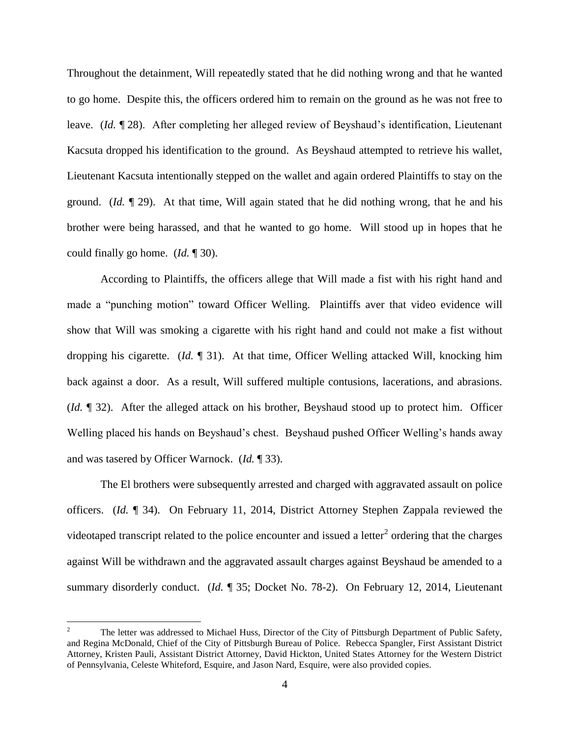Throughout the detainment, Will repeatedly stated that he did nothing wrong and that he wanted to go home. Despite this, the officers ordered him to remain on the ground as he was not free to leave. (*Id.* ¶ 28). After completing her alleged review of Beyshaud's identification, Lieutenant Kacsuta dropped his identification to the ground. As Beyshaud attempted to retrieve his wallet, Lieutenant Kacsuta intentionally stepped on the wallet and again ordered Plaintiffs to stay on the ground. (*Id.* ¶ 29). At that time, Will again stated that he did nothing wrong, that he and his brother were being harassed, and that he wanted to go home. Will stood up in hopes that he could finally go home. (*Id.* ¶ 30).

According to Plaintiffs, the officers allege that Will made a fist with his right hand and made a "punching motion" toward Officer Welling. Plaintiffs aver that video evidence will show that Will was smoking a cigarette with his right hand and could not make a fist without dropping his cigarette. (*Id.* ¶ 31). At that time, Officer Welling attacked Will, knocking him back against a door. As a result, Will suffered multiple contusions, lacerations, and abrasions. (*Id.* ¶ 32). After the alleged attack on his brother, Beyshaud stood up to protect him. Officer Welling placed his hands on Beyshaud's chest. Beyshaud pushed Officer Welling's hands away and was tasered by Officer Warnock. (*Id.* ¶ 33).

The El brothers were subsequently arrested and charged with aggravated assault on police officers. (*Id.* ¶ 34). On February 11, 2014, District Attorney Stephen Zappala reviewed the videotaped transcript related to the police encounter and issued a letter<sup>2</sup> ordering that the charges against Will be withdrawn and the aggravated assault charges against Beyshaud be amended to a summary disorderly conduct. (*Id.* ¶ 35; Docket No. 78-2). On February 12, 2014, Lieutenant

 $\overline{a}$ 

<sup>2</sup> The letter was addressed to Michael Huss, Director of the City of Pittsburgh Department of Public Safety, and Regina McDonald, Chief of the City of Pittsburgh Bureau of Police. Rebecca Spangler, First Assistant District Attorney, Kristen Pauli, Assistant District Attorney, David Hickton, United States Attorney for the Western District of Pennsylvania, Celeste Whiteford, Esquire, and Jason Nard, Esquire, were also provided copies.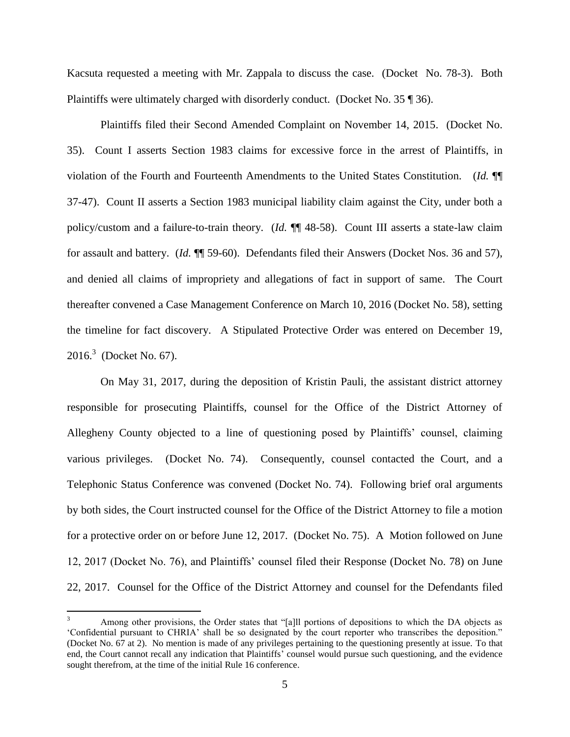Kacsuta requested a meeting with Mr. Zappala to discuss the case. (Docket No. 78-3). Both Plaintiffs were ultimately charged with disorderly conduct. (Docket No. 35 ¶ 36).

Plaintiffs filed their Second Amended Complaint on November 14, 2015. (Docket No. 35). Count I asserts Section 1983 claims for excessive force in the arrest of Plaintiffs, in violation of the Fourth and Fourteenth Amendments to the United States Constitution. (*Id.* ¶¶ 37-47). Count II asserts a Section 1983 municipal liability claim against the City, under both a policy/custom and a failure-to-train theory. (*Id.* ¶¶ 48-58). Count III asserts a state-law claim for assault and battery. (*Id.* ¶¶ 59-60). Defendants filed their Answers (Docket Nos. 36 and 57), and denied all claims of impropriety and allegations of fact in support of same. The Court thereafter convened a Case Management Conference on March 10, 2016 (Docket No. 58), setting the timeline for fact discovery. A Stipulated Protective Order was entered on December 19,  $2016.3$  (Docket No. 67).

On May 31, 2017, during the deposition of Kristin Pauli, the assistant district attorney responsible for prosecuting Plaintiffs, counsel for the Office of the District Attorney of Allegheny County objected to a line of questioning posed by Plaintiffs' counsel, claiming various privileges. (Docket No. 74). Consequently, counsel contacted the Court, and a Telephonic Status Conference was convened (Docket No. 74). Following brief oral arguments by both sides, the Court instructed counsel for the Office of the District Attorney to file a motion for a protective order on or before June 12, 2017. (Docket No. 75). A Motion followed on June 12, 2017 (Docket No. 76), and Plaintiffs' counsel filed their Response (Docket No. 78) on June 22, 2017. Counsel for the Office of the District Attorney and counsel for the Defendants filed

 $\overline{3}$ Among other provisions, the Order states that "[a]ll portions of depositions to which the DA objects as 'Confidential pursuant to CHRIA' shall be so designated by the court reporter who transcribes the deposition." (Docket No. 67 at 2). No mention is made of any privileges pertaining to the questioning presently at issue. To that end, the Court cannot recall any indication that Plaintiffs' counsel would pursue such questioning, and the evidence sought therefrom, at the time of the initial Rule 16 conference.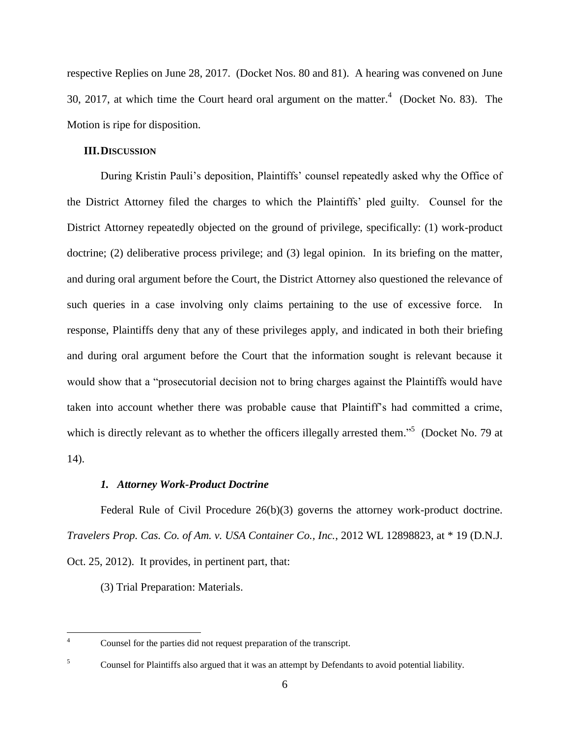respective Replies on June 28, 2017. (Docket Nos. 80 and 81). A hearing was convened on June 30, 2017, at which time the Court heard oral argument on the matter. $4$  (Docket No. 83). The Motion is ripe for disposition.

# **III.DISCUSSION**

During Kristin Pauli's deposition, Plaintiffs' counsel repeatedly asked why the Office of the District Attorney filed the charges to which the Plaintiffs' pled guilty. Counsel for the District Attorney repeatedly objected on the ground of privilege, specifically: (1) work-product doctrine; (2) deliberative process privilege; and (3) legal opinion. In its briefing on the matter, and during oral argument before the Court, the District Attorney also questioned the relevance of such queries in a case involving only claims pertaining to the use of excessive force. In response, Plaintiffs deny that any of these privileges apply, and indicated in both their briefing and during oral argument before the Court that the information sought is relevant because it would show that a "prosecutorial decision not to bring charges against the Plaintiffs would have taken into account whether there was probable cause that Plaintiff's had committed a crime, which is directly relevant as to whether the officers illegally arrested them."<sup>5</sup> (Docket No. 79 at 14).

# *1. Attorney Work-Product Doctrine*

Federal Rule of Civil Procedure 26(b)(3) governs the attorney work-product doctrine. *Travelers Prop. Cas. Co. of Am. v. USA Container Co., Inc.*, 2012 WL 12898823, at \* 19 (D.N.J. Oct. 25, 2012). It provides, in pertinent part, that:

(3) Trial Preparation: Materials.

 $\overline{4}$ Counsel for the parties did not request preparation of the transcript.

<sup>&</sup>lt;sup>5</sup> Counsel for Plaintiffs also argued that it was an attempt by Defendants to avoid potential liability.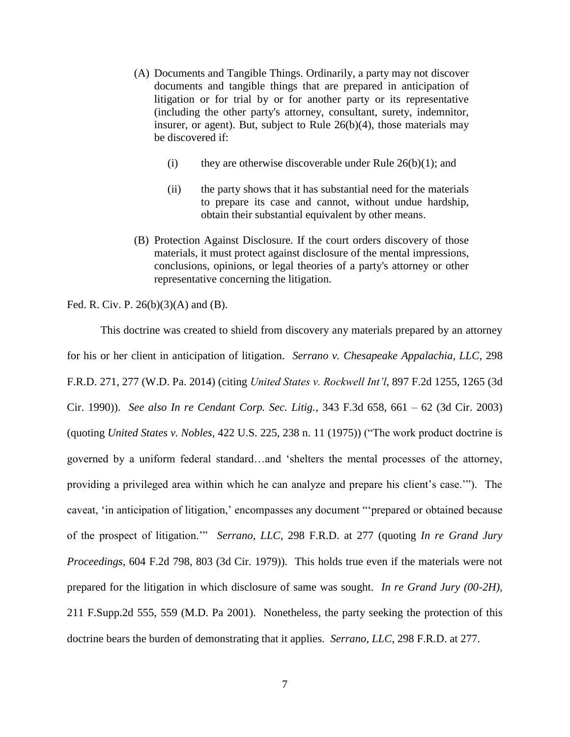- (A) Documents and Tangible Things. Ordinarily, a party may not discover documents and tangible things that are prepared in anticipation of litigation or for trial by or for another party or its representative (including the other party's attorney, consultant, surety, indemnitor, insurer, or agent). But, subject to [Rule 26\(b\)\(4\),](https://1.next.westlaw.com/Link/Document/FullText?findType=L&pubNum=1000600&cite=USFRCPR26&originatingDoc=Iabfd9e3056d411e785bb9ec363e03eb2&originationContext=document&transitionType=Document&contextData=(sc.UserEnteredCitation)) those materials may be discovered if:
	- (i) they are otherwise discoverable under Rule  $26(b)(1)$ ; and
	- (ii) the party shows that it has substantial need for the materials to prepare its case and cannot, without undue hardship, obtain their substantial equivalent by other means.
- (B) Protection Against Disclosure. If the court orders discovery of those materials, it must protect against disclosure of the mental impressions, conclusions, opinions, or legal theories of a party's attorney or other representative concerning the litigation.

Fed. R. Civ. P. 26(b)(3)(A) and (B).

This doctrine was created to shield from discovery any materials prepared by an attorney for his or her client in anticipation of litigation. *Serrano v. Chesapeake Appalachia, LLC*, 298 F.R.D. 271, 277 (W.D. Pa. 2014) (citing *United States v. Rockwell Int'l*, 897 F.2d 1255, 1265 (3d Cir. 1990)). *See also In re Cendant Corp. Sec. Litig.*, 343 F.3d 658, 661 – 62 (3d Cir. 2003) (quoting *United States v. Nobles*, 422 U.S. 225, 238 n. 11 (1975)) ("The work product doctrine is governed by a uniform federal standard…and 'shelters the mental processes of the attorney, providing a privileged area within which he can analyze and prepare his client's case.'"). The caveat, 'in anticipation of litigation,' encompasses any document "'prepared or obtained because of the prospect of litigation.'" *Serrano, LLC*, 298 F.R.D. at 277 (quoting *In re Grand Jury Proceedings*, 604 F.2d 798, 803 (3d Cir. 1979)). This holds true even if the materials were not prepared for the litigation in which disclosure of same was sought. *In re Grand Jury (00-2H)*, 211 F.Supp.2d 555, 559 (M.D. Pa 2001). Nonetheless, the party seeking the protection of this doctrine bears the burden of demonstrating that it applies. *Serrano, LLC*, 298 F.R.D. at 277.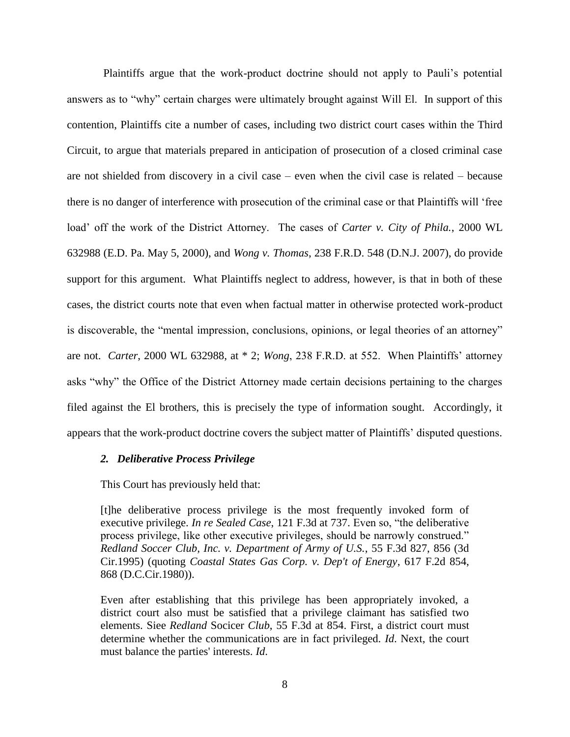Plaintiffs argue that the work-product doctrine should not apply to Pauli's potential answers as to "why" certain charges were ultimately brought against Will El. In support of this contention, Plaintiffs cite a number of cases, including two district court cases within the Third Circuit, to argue that materials prepared in anticipation of prosecution of a closed criminal case are not shielded from discovery in a civil case – even when the civil case is related – because there is no danger of interference with prosecution of the criminal case or that Plaintiffs will 'free load' off the work of the District Attorney. The cases of *Carter v. City of Phila.*, 2000 WL 632988 (E.D. Pa. May 5, 2000), and *Wong v. Thomas*, 238 F.R.D. 548 (D.N.J. 2007), do provide support for this argument. What Plaintiffs neglect to address, however, is that in both of these cases, the district courts note that even when factual matter in otherwise protected work-product is discoverable, the "mental impression, conclusions, opinions, or legal theories of an attorney" are not. *Carter*, 2000 WL 632988, at \* 2; *Wong*, 238 F.R.D. at 552. When Plaintiffs' attorney asks "why" the Office of the District Attorney made certain decisions pertaining to the charges filed against the El brothers, this is precisely the type of information sought. Accordingly, it appears that the work-product doctrine covers the subject matter of Plaintiffs' disputed questions.

#### *2. Deliberative Process Privilege*

This Court has previously held that:

[t]he deliberative process privilege is the most frequently invoked form of executive privilege. *[In re Sealed Case](https://1.next.westlaw.com/Link/Document/FullText?findType=Y&serNum=1997182468&pubNum=506&originatingDoc=Ie426b2119c9b11e0a8a2938374af9660&refType=RP&fi=co_pp_sp_506_737&originationContext=document&transitionType=DocumentItem&contextData=(sc.Search)#co_pp_sp_506_737)*, 121 F.3d at 737. Even so, "the deliberative process privilege, like other executive privileges, should be narrowly construed." *[Redland Soccer Club, Inc. v. Department of Army of U.S.](https://1.next.westlaw.com/Link/Document/FullText?findType=Y&serNum=1995108381&pubNum=506&originatingDoc=Ie426b2119c9b11e0a8a2938374af9660&refType=RP&fi=co_pp_sp_506_856&originationContext=document&transitionType=DocumentItem&contextData=(sc.Search)#co_pp_sp_506_856)*, 55 F.3d 827, 856 (3d [Cir.1995\)](https://1.next.westlaw.com/Link/Document/FullText?findType=Y&serNum=1995108381&pubNum=506&originatingDoc=Ie426b2119c9b11e0a8a2938374af9660&refType=RP&fi=co_pp_sp_506_856&originationContext=document&transitionType=DocumentItem&contextData=(sc.Search)#co_pp_sp_506_856) (quoting *[Coastal States Gas Corp. v. Dep't of Energy](https://1.next.westlaw.com/Link/Document/FullText?findType=Y&serNum=1980112494&pubNum=350&originatingDoc=Ie426b2119c9b11e0a8a2938374af9660&refType=RP&fi=co_pp_sp_350_868&originationContext=document&transitionType=DocumentItem&contextData=(sc.Search)#co_pp_sp_350_868)*, 617 F.2d 854, [868 \(D.C.Cir.1980\)\)](https://1.next.westlaw.com/Link/Document/FullText?findType=Y&serNum=1980112494&pubNum=350&originatingDoc=Ie426b2119c9b11e0a8a2938374af9660&refType=RP&fi=co_pp_sp_350_868&originationContext=document&transitionType=DocumentItem&contextData=(sc.Search)#co_pp_sp_350_868).

Even after establishing that this privilege has been appropriately invoked, a district court also must be satisfied that a privilege claimant has satisfied two elements. Siee *Redland* Socicer *Club*[, 55 F.3d at 854.](https://1.next.westlaw.com/Link/Document/FullText?findType=Y&serNum=1995108381&pubNum=506&originatingDoc=Ie426b2119c9b11e0a8a2938374af9660&refType=RP&fi=co_pp_sp_506_854&originationContext=document&transitionType=DocumentItem&contextData=(sc.Search)#co_pp_sp_506_854) First, a district court must determine whether the communications are in fact privileged. *[Id](https://1.next.westlaw.com/Link/Document/FullText?findType=Y&serNum=1995108381&originatingDoc=Ie426b2119c9b11e0a8a2938374af9660&refType=RP&originationContext=document&transitionType=DocumentItem&contextData=(sc.Search))*. Next, the court must balance the parties' interests. *[Id](https://1.next.westlaw.com/Link/Document/FullText?findType=Y&serNum=1995108381&originatingDoc=Ie426b2119c9b11e0a8a2938374af9660&refType=RP&originationContext=document&transitionType=DocumentItem&contextData=(sc.Search))*.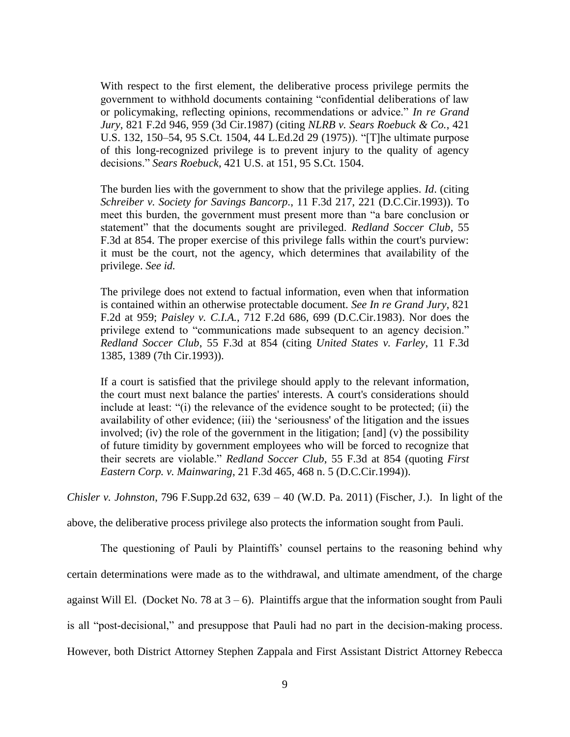With respect to the first element, the deliberative process privilege permits the government to withhold documents containing "confidential deliberations of law or policymaking, reflecting opinions, recommendations or advice." *[In re Grand](https://1.next.westlaw.com/Link/Document/FullText?findType=Y&serNum=1987072513&pubNum=350&originatingDoc=Ie426b2119c9b11e0a8a2938374af9660&refType=RP&fi=co_pp_sp_350_959&originationContext=document&transitionType=DocumentItem&contextData=(sc.Search)#co_pp_sp_350_959)  Jury*[, 821 F.2d 946, 959 \(3d Cir.1987\)](https://1.next.westlaw.com/Link/Document/FullText?findType=Y&serNum=1987072513&pubNum=350&originatingDoc=Ie426b2119c9b11e0a8a2938374af9660&refType=RP&fi=co_pp_sp_350_959&originationContext=document&transitionType=DocumentItem&contextData=(sc.Search)#co_pp_sp_350_959) (citing *[NLRB v. Sears Roebuck & Co.](https://1.next.westlaw.com/Link/Document/FullText?findType=Y&serNum=1975129772&pubNum=708&originatingDoc=Ie426b2119c9b11e0a8a2938374af9660&refType=RP&originationContext=document&transitionType=DocumentItem&contextData=(sc.Search))*, 421 [U.S. 132, 150–54, 95 S.Ct. 1504, 44 L.Ed.2d 29 \(1975\)\)](https://1.next.westlaw.com/Link/Document/FullText?findType=Y&serNum=1975129772&pubNum=708&originatingDoc=Ie426b2119c9b11e0a8a2938374af9660&refType=RP&originationContext=document&transitionType=DocumentItem&contextData=(sc.Search)). "[T]he ultimate purpose of this long-recognized privilege is to prevent injury to the quality of agency decisions." *Sears Roebuck*[, 421 U.S. at 151, 95 S.Ct. 1504.](https://1.next.westlaw.com/Link/Document/FullText?findType=Y&serNum=1975129772&pubNum=708&originatingDoc=Ie426b2119c9b11e0a8a2938374af9660&refType=RP&originationContext=document&transitionType=DocumentItem&contextData=(sc.Search))

The burden lies with the government to show that the privilege applies. *[Id](https://1.next.westlaw.com/Link/Document/FullText?findType=Y&serNum=1975129772&originatingDoc=Ie426b2119c9b11e0a8a2938374af9660&refType=RP&originationContext=document&transitionType=DocumentItem&contextData=(sc.Search))*. (citing *[Schreiber v. Society for Savings Bancorp.](https://1.next.westlaw.com/Link/Document/FullText?findType=Y&serNum=1993233258&pubNum=506&originatingDoc=Ie426b2119c9b11e0a8a2938374af9660&refType=RP&fi=co_pp_sp_506_221&originationContext=document&transitionType=DocumentItem&contextData=(sc.Search)#co_pp_sp_506_221)*, 11 F.3d 217, 221 (D.C.Cir.1993)). To meet this burden, the government must present more than "a bare conclusion or statement" that the documents sought are privileged. *[Redland Soccer Club](https://1.next.westlaw.com/Link/Document/FullText?findType=Y&serNum=1995108381&pubNum=506&originatingDoc=Ie426b2119c9b11e0a8a2938374af9660&refType=RP&fi=co_pp_sp_506_854&originationContext=document&transitionType=DocumentItem&contextData=(sc.Search)#co_pp_sp_506_854)*, 55 [F.3d at 854.](https://1.next.westlaw.com/Link/Document/FullText?findType=Y&serNum=1995108381&pubNum=506&originatingDoc=Ie426b2119c9b11e0a8a2938374af9660&refType=RP&fi=co_pp_sp_506_854&originationContext=document&transitionType=DocumentItem&contextData=(sc.Search)#co_pp_sp_506_854) The proper exercise of this privilege falls within the court's purview: it must be the court, not the agency, which determines that availability of the privilege. *See [id.](https://1.next.westlaw.com/Link/Document/FullText?findType=Y&serNum=1995108381&originatingDoc=Ie426b2119c9b11e0a8a2938374af9660&refType=RP&originationContext=document&transitionType=DocumentItem&contextData=(sc.Search))*

The privilege does not extend to factual information, even when that information is contained within an otherwise protectable document. *See In re [Grand](https://1.next.westlaw.com/Link/Document/FullText?findType=Y&serNum=1987072513&pubNum=350&originatingDoc=Ie426b2119c9b11e0a8a2938374af9660&refType=RP&fi=co_pp_sp_350_959&originationContext=document&transitionType=DocumentItem&contextData=(sc.Search)#co_pp_sp_350_959) Jury*, 821 [F.2d at 959;](https://1.next.westlaw.com/Link/Document/FullText?findType=Y&serNum=1987072513&pubNum=350&originatingDoc=Ie426b2119c9b11e0a8a2938374af9660&refType=RP&fi=co_pp_sp_350_959&originationContext=document&transitionType=DocumentItem&contextData=(sc.Search)#co_pp_sp_350_959) *Paisley v. C.I.A.*[, 712 F.2d 686, 699 \(D.C.Cir.1983\).](https://1.next.westlaw.com/Link/Document/FullText?findType=Y&serNum=1983134871&pubNum=350&originatingDoc=Ie426b2119c9b11e0a8a2938374af9660&refType=RP&fi=co_pp_sp_350_699&originationContext=document&transitionType=DocumentItem&contextData=(sc.Search)#co_pp_sp_350_699) Nor does the privilege extend to "communications made subsequent to an agency decision." *[Redland Soccer Club](https://1.next.westlaw.com/Link/Document/FullText?findType=Y&serNum=1995108381&pubNum=506&originatingDoc=Ie426b2119c9b11e0a8a2938374af9660&refType=RP&fi=co_pp_sp_506_854&originationContext=document&transitionType=DocumentItem&contextData=(sc.Search)#co_pp_sp_506_854)*, 55 F.3d at 854 (citing *[United States v. Farley](https://1.next.westlaw.com/Link/Document/FullText?findType=Y&serNum=1993235721&pubNum=506&originatingDoc=Ie426b2119c9b11e0a8a2938374af9660&refType=RP&fi=co_pp_sp_506_1389&originationContext=document&transitionType=DocumentItem&contextData=(sc.Search)#co_pp_sp_506_1389)*, 11 F.3d [1385, 1389 \(7th Cir.1993\)\)](https://1.next.westlaw.com/Link/Document/FullText?findType=Y&serNum=1993235721&pubNum=506&originatingDoc=Ie426b2119c9b11e0a8a2938374af9660&refType=RP&fi=co_pp_sp_506_1389&originationContext=document&transitionType=DocumentItem&contextData=(sc.Search)#co_pp_sp_506_1389).

If a court is satisfied that the privilege should apply to the relevant information, the court must next balance the parties' interests. A court's considerations should include at least: "(i) the relevance of the evidence sought to be protected; (ii) the availability of other evidence; (iii) the 'seriousness' of the litigation and the issues involved; (iv) the role of the government in the litigation; [and] (v) the possibility of future timidity by government employees who will be forced to recognize that their secrets are violable." *[Redland Soccer Club](https://1.next.westlaw.com/Link/Document/FullText?findType=Y&serNum=1995108381&pubNum=506&originatingDoc=Ie426b2119c9b11e0a8a2938374af9660&refType=RP&fi=co_pp_sp_506_854&originationContext=document&transitionType=DocumentItem&contextData=(sc.Search)#co_pp_sp_506_854)*, 55 F.3d at 854 (quoting *[First](https://1.next.westlaw.com/Link/Document/FullText?findType=Y&serNum=1994079489&pubNum=506&originatingDoc=Ie426b2119c9b11e0a8a2938374af9660&refType=RP&fi=co_pp_sp_506_468&originationContext=document&transitionType=DocumentItem&contextData=(sc.Search)#co_pp_sp_506_468)  Eastern Corp. v. Mainwaring*[, 21 F.3d 465, 468 n. 5 \(D.C.Cir.1994\)\).](https://1.next.westlaw.com/Link/Document/FullText?findType=Y&serNum=1994079489&pubNum=506&originatingDoc=Ie426b2119c9b11e0a8a2938374af9660&refType=RP&fi=co_pp_sp_506_468&originationContext=document&transitionType=DocumentItem&contextData=(sc.Search)#co_pp_sp_506_468)

*Chisler v. Johnston*, 796 F.Supp.2d 632, 639 – 40 (W.D. Pa. 2011) (Fischer, J.). In light of the

above, the deliberative process privilege also protects the information sought from Pauli.

The questioning of Pauli by Plaintiffs' counsel pertains to the reasoning behind why certain determinations were made as to the withdrawal, and ultimate amendment, of the charge against Will El. (Docket No. 78 at  $3 - 6$ ). Plaintiffs argue that the information sought from Pauli is all "post-decisional," and presuppose that Pauli had no part in the decision-making process. However, both District Attorney Stephen Zappala and First Assistant District Attorney Rebecca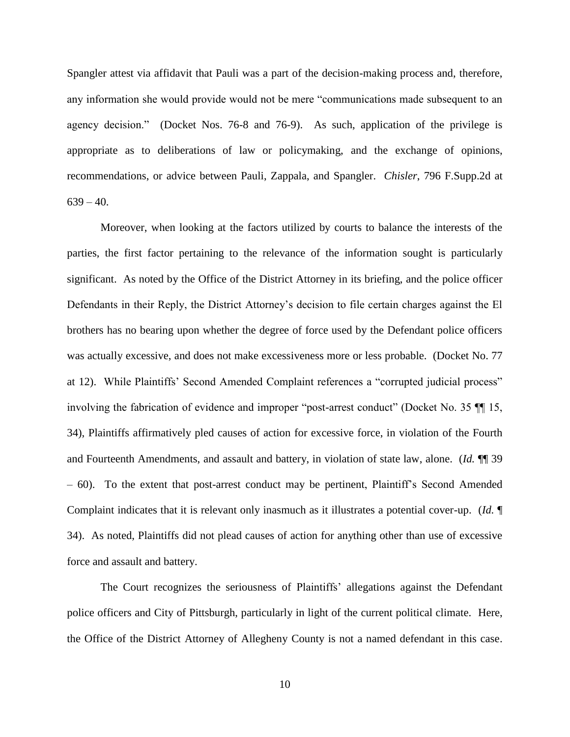Spangler attest via affidavit that Pauli was a part of the decision-making process and, therefore, any information she would provide would not be mere "communications made subsequent to an agency decision." (Docket Nos. 76-8 and 76-9). As such, application of the privilege is appropriate as to deliberations of law or policymaking, and the exchange of opinions, recommendations, or advice between Pauli, Zappala, and Spangler. *Chisler*, 796 F.Supp.2d at  $639 - 40.$ 

Moreover, when looking at the factors utilized by courts to balance the interests of the parties, the first factor pertaining to the relevance of the information sought is particularly significant. As noted by the Office of the District Attorney in its briefing, and the police officer Defendants in their Reply, the District Attorney's decision to file certain charges against the El brothers has no bearing upon whether the degree of force used by the Defendant police officers was actually excessive, and does not make excessiveness more or less probable. (Docket No. 77 at 12). While Plaintiffs' Second Amended Complaint references a "corrupted judicial process" involving the fabrication of evidence and improper "post-arrest conduct" (Docket No. 35 ¶¶ 15, 34), Plaintiffs affirmatively pled causes of action for excessive force, in violation of the Fourth and Fourteenth Amendments, and assault and battery, in violation of state law, alone. (*Id.* ¶¶ 39 – 60). To the extent that post-arrest conduct may be pertinent, Plaintiff's Second Amended Complaint indicates that it is relevant only inasmuch as it illustrates a potential cover-up. (*Id.* ¶ 34). As noted, Plaintiffs did not plead causes of action for anything other than use of excessive force and assault and battery.

The Court recognizes the seriousness of Plaintiffs' allegations against the Defendant police officers and City of Pittsburgh, particularly in light of the current political climate. Here, the Office of the District Attorney of Allegheny County is not a named defendant in this case.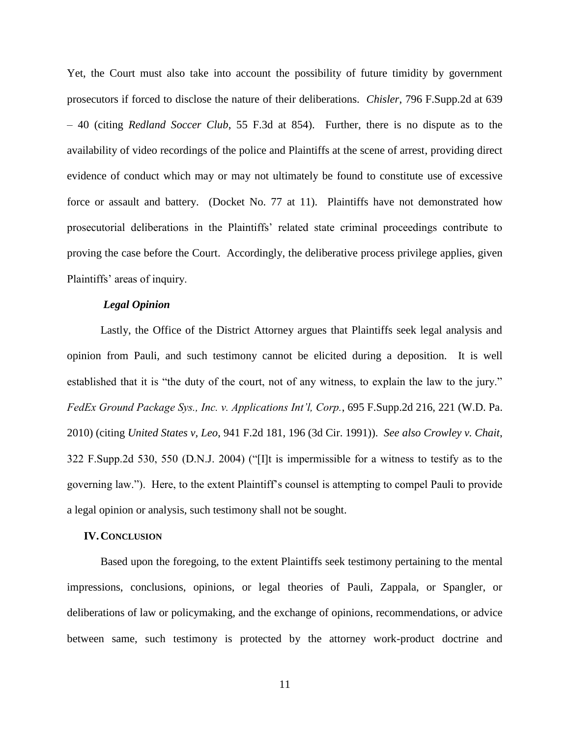Yet, the Court must also take into account the possibility of future timidity by government prosecutors if forced to disclose the nature of their deliberations. *Chisler*, 796 F.Supp.2d at 639 – 40 (citing *[Redland Soccer Club](https://1.next.westlaw.com/Link/Document/FullText?findType=Y&serNum=1995108381&pubNum=506&originatingDoc=Ie426b2119c9b11e0a8a2938374af9660&refType=RP&fi=co_pp_sp_506_854&originationContext=document&transitionType=DocumentItem&contextData=(sc.Search)#co_pp_sp_506_854)*, 55 F.3d at 854). Further, there is no dispute as to the availability of video recordings of the police and Plaintiffs at the scene of arrest, providing direct evidence of conduct which may or may not ultimately be found to constitute use of excessive force or assault and battery. (Docket No. 77 at 11). Plaintiffs have not demonstrated how prosecutorial deliberations in the Plaintiffs' related state criminal proceedings contribute to proving the case before the Court. Accordingly, the deliberative process privilege applies, given Plaintiffs' areas of inquiry.

## *Legal Opinion*

Lastly, the Office of the District Attorney argues that Plaintiffs seek legal analysis and opinion from Pauli, and such testimony cannot be elicited during a deposition. It is well established that it is "the duty of the court, not of any witness, to explain the law to the jury." *FedEx Ground Package Sys., Inc. v. Applications Int'l, Corp.*, 695 F.Supp.2d 216, 221 (W.D. Pa. 2010) (citing *United States v, Leo*, 941 F.2d 181, 196 (3d Cir. 1991)). *See also Crowley v. Chait*, 322 F.Supp.2d 530, 550 (D.N.J. 2004) ("[I]t is impermissible for a witness to testify as to the governing law."). Here, to the extent Plaintiff's counsel is attempting to compel Pauli to provide a legal opinion or analysis, such testimony shall not be sought.

## **IV.CONCLUSION**

Based upon the foregoing, to the extent Plaintiffs seek testimony pertaining to the mental impressions, conclusions, opinions, or legal theories of Pauli, Zappala, or Spangler, or deliberations of law or policymaking, and the exchange of opinions, recommendations, or advice between same, such testimony is protected by the attorney work-product doctrine and